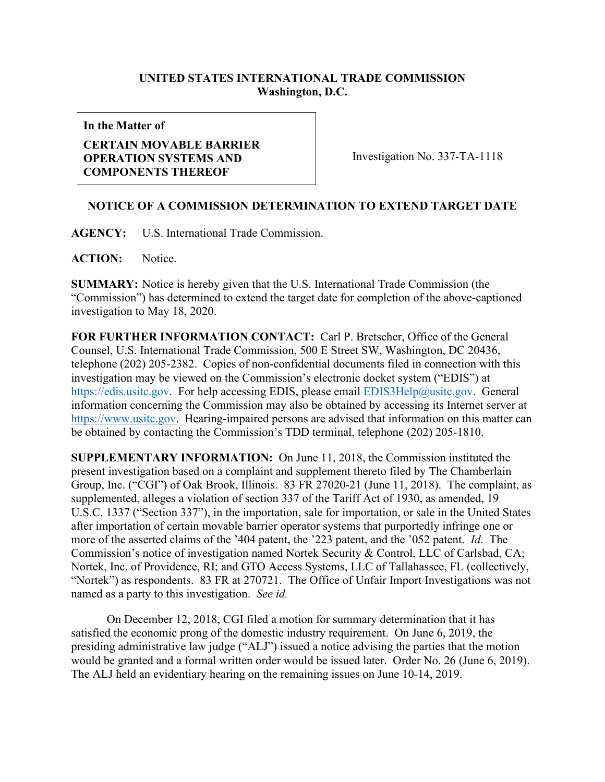## **UNITED STATES INTERNATIONAL TRADE COMMISSION Washington, D.C.**

**In the Matter of**

## **CERTAIN MOVABLE BARRIER OPERATION SYSTEMS AND COMPONENTS THEREOF**

Investigation No. 337-TA-1118

## **NOTICE OF A COMMISSION DETERMINATION TO EXTEND TARGET DATE**

**AGENCY:** U.S. International Trade Commission.

ACTION: Notice.

**SUMMARY:** Notice is hereby given that the U.S. International Trade Commission (the "Commission") has determined to extend the target date for completion of the above-captioned investigation to May 18, 2020.

**FOR FURTHER INFORMATION CONTACT:** Carl P. Bretscher, Office of the General Counsel, U.S. International Trade Commission, 500 E Street SW, Washington, DC 20436, telephone (202) 205-2382. Copies of non-confidential documents filed in connection with this investigation may be viewed on the Commission's electronic docket system ("EDIS") at [https://edis.usitc.gov.](https://edis.usitc.gov/) For help accessing EDIS, please email [EDIS3Help@usitc.gov.](mailto:EDIS3Help@usitc.gov) General information concerning the Commission may also be obtained by accessing its Internet server at [https://www.usitc.gov.](https://www.usitc.gov/) Hearing-impaired persons are advised that information on this matter can be obtained by contacting the Commission's TDD terminal, telephone (202) 205-1810.

**SUPPLEMENTARY INFORMATION:** On June 11, 2018, the Commission instituted the present investigation based on a complaint and supplement thereto filed by The Chamberlain Group, Inc. ("CGI") of Oak Brook, Illinois. 83 FR 27020-21 (June 11, 2018). The complaint, as supplemented, alleges a violation of section 337 of the Tariff Act of 1930, as amended, 19 U.S.C. 1337 ("Section 337"), in the importation, sale for importation, or sale in the United States after importation of certain movable barrier operator systems that purportedly infringe one or more of the asserted claims of the '404 patent, the '223 patent, and the '052 patent. *Id*. The Commission's notice of investigation named Nortek Security & Control, LLC of Carlsbad, CA; Nortek, Inc. of Providence, RI; and GTO Access Systems, LLC of Tallahassee, FL (collectively, "Nortek") as respondents. 83 FR at 270721. The Office of Unfair Import Investigations was not named as a party to this investigation. *See id.*

On December 12, 2018, CGI filed a motion for summary determination that it has satisfied the economic prong of the domestic industry requirement. On June 6, 2019, the presiding administrative law judge ("ALJ") issued a notice advising the parties that the motion would be granted and a formal written order would be issued later. Order No. 26 (June 6, 2019). The ALJ held an evidentiary hearing on the remaining issues on June 10-14, 2019.